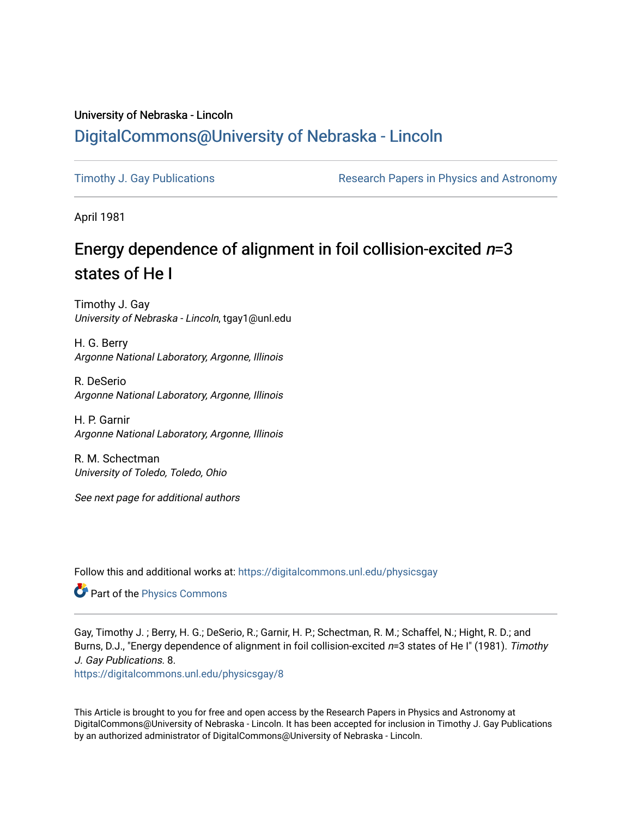## University of Nebraska - Lincoln [DigitalCommons@University of Nebraska - Lincoln](https://digitalcommons.unl.edu/)

[Timothy J. Gay Publications](https://digitalcommons.unl.edu/physicsgay) **Research Papers in Physics and Astronomy** 

April 1981

# Energy dependence of alignment in foil collision-excited  $n=3$ states of He I

Timothy J. Gay University of Nebraska - Lincoln, tgay1@unl.edu

H. G. Berry Argonne National Laboratory, Argonne, Illinois

R. DeSerio Argonne National Laboratory, Argonne, Illinois

H. P. Garnir Argonne National Laboratory, Argonne, Illinois

R. M. Schectman University of Toledo, Toledo, Ohio

See next page for additional authors

Follow this and additional works at: [https://digitalcommons.unl.edu/physicsgay](https://digitalcommons.unl.edu/physicsgay?utm_source=digitalcommons.unl.edu%2Fphysicsgay%2F8&utm_medium=PDF&utm_campaign=PDFCoverPages)

**Part of the [Physics Commons](http://network.bepress.com/hgg/discipline/193?utm_source=digitalcommons.unl.edu%2Fphysicsgay%2F8&utm_medium=PDF&utm_campaign=PDFCoverPages)** 

Gay, Timothy J. ; Berry, H. G.; DeSerio, R.; Garnir, H. P.; Schectman, R. M.; Schaffel, N.; Hight, R. D.; and Burns, D.J., "Energy dependence of alignment in foil collision-excited n=3 states of He I" (1981). Timothy J. Gay Publications. 8.

[https://digitalcommons.unl.edu/physicsgay/8](https://digitalcommons.unl.edu/physicsgay/8?utm_source=digitalcommons.unl.edu%2Fphysicsgay%2F8&utm_medium=PDF&utm_campaign=PDFCoverPages)

This Article is brought to you for free and open access by the Research Papers in Physics and Astronomy at DigitalCommons@University of Nebraska - Lincoln. It has been accepted for inclusion in Timothy J. Gay Publications by an authorized administrator of DigitalCommons@University of Nebraska - Lincoln.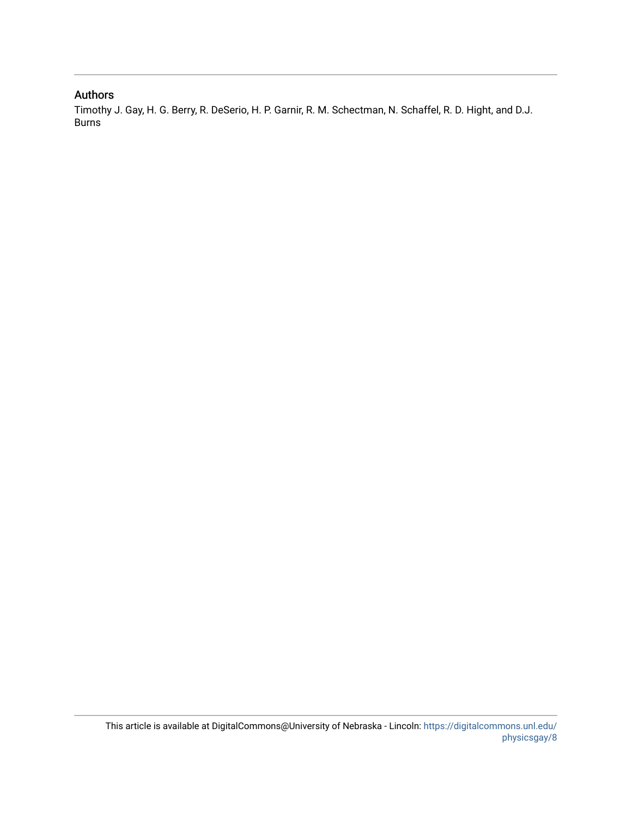### Authors

Timothy J. Gay, H. G. Berry, R. DeSerio, H. P. Garnir, R. M. Schectman, N. Schaffel, R. D. Hight, and D.J. Burns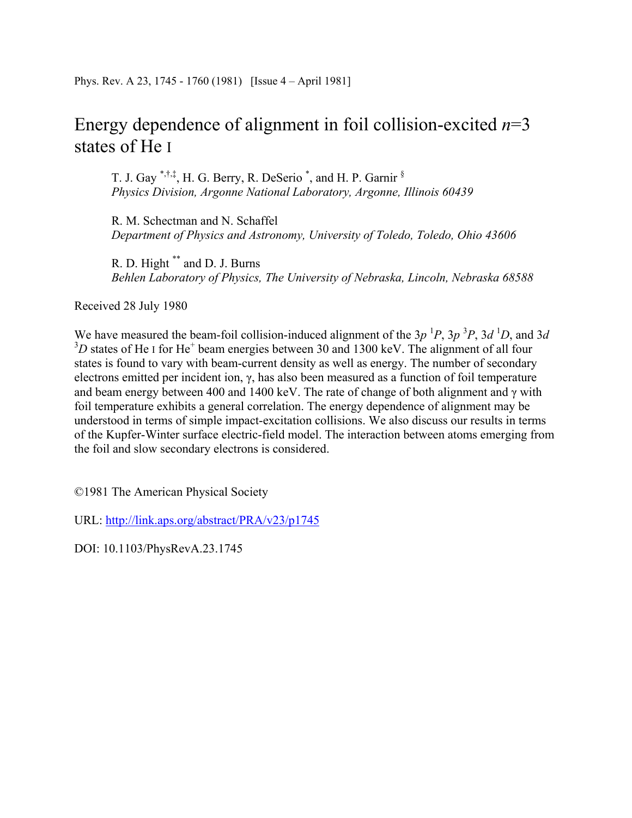# Energy dependence of alignment in foil collision-excited *n*=3 states of He I

T. J. Gay \*,†,‡, H. G. Berry, R. DeSerio<sup>\*</sup>, and H. P. Garnir  $§$ *Physics Division, Argonne National Laboratory, Argonne, Illinois 60439* 

R. M. Schectman and N. Schaffel *Department of Physics and Astronomy, University of Toledo, Toledo, Ohio 43606* 

R. D. Hight \*\* and D. J. Burns *Behlen Laboratory of Physics, The University of Nebraska, Lincoln, Nebraska 68588*

Received 28 July 1980

We have measured the beam-foil collision-induced alignment of the  $3p<sup>1</sup>P$ ,  $3p<sup>3</sup>P$ ,  $3d<sup>1</sup>D$ , and  $3d$  $3D$  states of He I for He<sup>+</sup> beam energies between 30 and 1300 keV. The alignment of all four states is found to vary with beam-current density as well as energy. The number of secondary electrons emitted per incident ion, γ, has also been measured as a function of foil temperature and beam energy between 400 and 1400 keV. The rate of change of both alignment and  $\gamma$  with foil temperature exhibits a general correlation. The energy dependence of alignment may be understood in terms of simple impact-excitation collisions. We also discuss our results in terms of the Kupfer-Winter surface electric-field model. The interaction between atoms emerging from the foil and slow secondary electrons is considered.

©1981 The American Physical Society

URL: http://link.aps.org/abstract/PRA/v23/p1745

DOI: 10.1103/PhysRevA.23.1745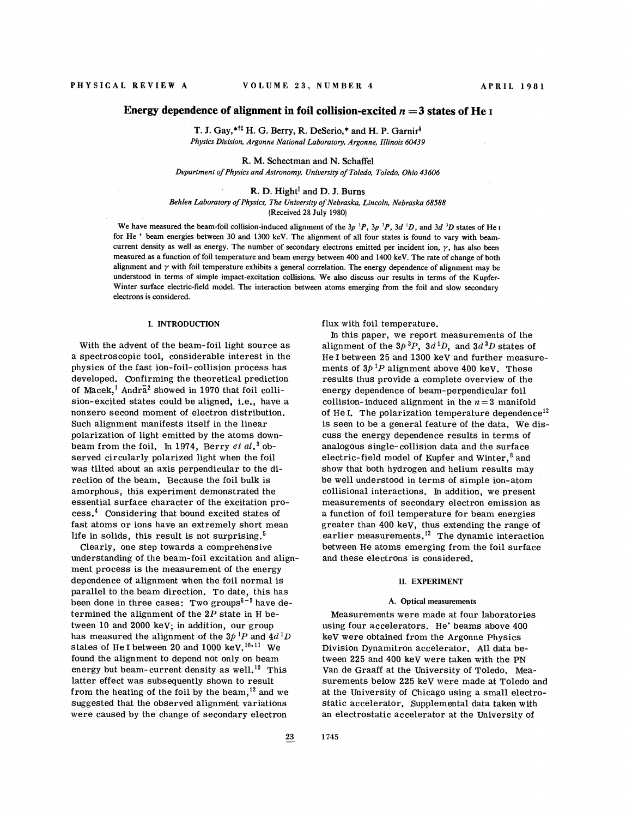### **Energy dependence of alignment in foil collision-excited**  $n = 3$  **states of He I**

T. J. Gay,\*<sup>††</sup> H. G. Berry, R. DeSerio,\* and H. P. Garnir<sup>§</sup> *Physics Division, Argonne National Laboratory, Argonne, Illinois 60439* 

R. M. Schectman and N. Schaffel *Department of Physics and Astronomy, University of Toledo, Toledo, Ohio 43606* 

#### R. D. Hight<sup>||</sup> and D. J. Burns

*Behlen Laboratory of Physics, The University of Nebraska, Lincoln, Nebraska 68588*  (Received 28 July 1980)

We have measured the beam-foil collision-induced alignment of the  $3p^{1}P$ ,  $3p^{3}P$ ,  $3d^{1}D$ , and  $3d^{3}D$  states of He I for He + beam energies between 30 and 1300 keV. The alignment of all four states is found to vary with beamcurrent density as well as energy. The number of secondary electrons emitted per incident ion,  $\gamma$ , has also been measured as a function of foil temperature and beam energy between 400 and 1400 keV. The rate of change of both alignment and  $\gamma$  with foil temperature exhibits a general correlation. The energy dependence of alignment may be understood in terms of simple impact-excitation collisions. We also discuss our results in terms of the Kupfer-Winter surface electric-field model. The interaction between atoms emerging from the foil and slow secondary electrons is considered.

#### I. INTRODUCTION

With the advent of the beam-foil light source as a spectroscopic tool, considerable interest in the physics of the fast ion-foil-collision process has developed. Confirming the theoretical prediction of Macek,<sup>1</sup> Andra<sup>2</sup> showed in 1970 that foil collision-excited states could be aligned, i.e., have a nonzero second moment of electron distribution. Such alignment manifests itself in the linear polarization of light emitted by the atoms downbeam from the foil. In 1974, Berry  $et\ al.^3$  observed circularly polarized light when the foil was tilted about an axis perpendicular to the direction of the beam. Because the foil bulk is amorphous, this experiment demonstrated the essential surface character of the excitation pro cess.<sup>4</sup> Considering that bound excited states of fast atoms or ions have an extremely short mean life in solids, this result is not surprising. $5$ 

Clearly, one step towards a comprehensive understanding of the beam-foil excitation and alignment process is the measurement of the energy dependence of alignment when the foil normal is parallel to the beam direction. To date, this has been done in three cases: Two groups<sup> $6-9$ </sup> have determined the alignment of the  $2P$  state in H between 10 and 2000 kev; in addition, our group has measured the alignment of the  $3p^{1}P$  and  $4d^{1}D$ states of He I between 20 and 1000 keV.<sup>10,11</sup> We found the alignment to depend not only on beam energy but beam-current density as well.<sup>10</sup> This latter effect was subsequently shown to result from the heating of the foil by the beam, $^{12}$  and we suggested that the observed alignment variations were caused by the change of secondary electron

flux with foil temperature.

In this paper, we report measurements of the alignment of the  $3p^{3}P$ ,  $3d^{1}D$ , and  $3d^{3}D$  states of He I between 25 and 1300 keV and further measurements of  $3p^{1}P$  alignment above 400 keV. These results thus provide a complete overview of the energy dependence of beam-perpendicular foil collision-induced alignment in the  $n = 3$  manifold of He I. The polarization temperature dependence<sup>12</sup> is seen to be a general feature of the data. We discuss the energy dependence results in terms of analogous single- collision data and the surface electric-field model of Kupfer and Winter, $8$  and show that both hydrogen and helium results may be well understood in terms of simple ion-atom collisional interactions. In addition, we present measurements of secondary electron emission as a function of foil temperature for beam energies greater than 400 keV, thus extending the range of earlier measurements.<sup>12</sup> The dynamic interaction between He atoms emerging from the foil surface and these electrons is considered.

#### 11. EXPERIMENT

#### **A.** Optical measurements

Measurements were made at four laboratories using four accelerators. He' beams above 400 keV were obtained from the Argonne Physics Division Dynamitron accelerator. All data between 225 and 400 keV were taken with the PN Van de Graaff at the University of Toledo. Measurements below 225 keV were made at Toledo and at the University of Chicago using a small electrostatic accelerator. Supplemental data taken with an electrostatic accelerator at the University of

1745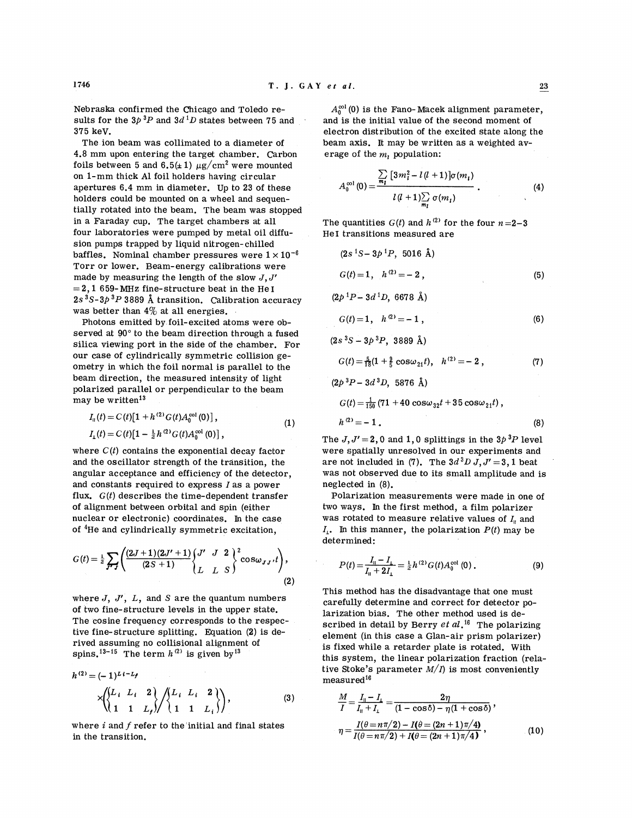Nebraska confirmed the Chicago and Toledo results for the  $3p^{3}P$  and  $3d^{1}D$  states between 75 and 375 keV.

The ion beam was collimated to a diameter of 4.8 mm upon entering the target chamber. Carbon foils between 5 and  $6.5(\pm 1) \mu g/cm^2$  were mounted on 1-mm thick A1 foil holders having circular apertures 6.4 mm in diameter. Up to 23 of these holders could be mounted on a wheel and sequentially rotated into the beam. The beam was stopped in a Faraday cup. The target chambers at all four laboratories were pumped by metal oil diffusion pumps trapped by liquid nitrogen-chilled baffles. Nominal chamber pressures were  $1 \times 10^{-6}$ Torr or lower. Beam-energy calibrations were made by measuring the length of the slow  $J, J'$  $= 2,1 659$ -MHz fine-structure beat in the He I  $2s<sup>3</sup>S-3p<sup>3</sup>P$  3889 Å transition. Calibration accuracy was better than  $4\%$  at all energies.

Photons emitted by foil-excited atoms were observed at 90° to the beam direction through a fused silica viewing port in the side of the chamber. For our case of cylindrically symmetric collision geometry in which the foil normal is parallel to the beam direction, the measured intensity of light polarized parallel or perpendicular to the beam may be written<sup>13</sup>

$$
I_{\parallel}(t) = C(t)[1 + h^{(2)} G(t) A_0^{\text{col}}(0)],
$$
  
\n
$$
I_{\perp}(t) = C(t)[1 - \frac{1}{2}h^{(2)} G(t) A_0^{\text{col}}(0)],
$$
\n(1)

where  $C(t)$  contains the exponential decay factor and the oscillator strength of the transition, the angular acceptance and efficiency of the detector, and constants required to express I as a power flux.  $G(t)$  describes the time-dependent transfer of alignment between orbital and spin (either nuclear or electronic) coordinates. In the case of  $4H$ e and cylindrically symmetric excitation,

$$
G(t) = \frac{1}{2} \sum_{J \sim J} \left( \frac{(2J+1)(2J'+1)}{(2S+1)} \begin{Bmatrix} J' & J & 2 \\ L & L & S \end{Bmatrix}^2 \cos \omega_{JJ'} t \right), \tag{2}
$$

where *J*, *J'*, *L*, and *S* are the quantum numbers of two fine-structure levels in the upper state. The cosine frequency corresponds to the respective fine-structure splitting. Equation (2) is derived assuming no collisional alignment of spins.<sup>13-15</sup> The term  $h^{(2)}$  is given by<sup>13</sup>

$$
h^{(2)} = (-1)^{Li-L_f}
$$
  
\n
$$
\times \left\{ \begin{cases} L_i & L_i & 2 \\ 1 & 1 & L_f \end{cases} \right\} / \left\{ \begin{cases} L_i & L_i & 2 \\ 1 & 1 & L_i \end{cases} \right\},
$$
 (3)

where **i** and f refer to the initial and final states in the transition.

$$
A_0^{\infty 1}(0) = \frac{\sum\limits_{m_1} [3m_i^2 - l(l+1)] \sigma(m_1)}{l(l+1) \sum\limits_{m_1} \sigma(m_1)}.
$$
 (4)

The quantities  $G(t)$  and  $h^{(2)}$  for the four  $n=2-3$ He1 transitions measured are

$$
(2s1S - 3p1P, 5016 Å)
$$
  
\n
$$
G(t) = 1, \quad h(2) = -2,
$$
  
\n
$$
(2p1P - 3d1D, 6678 Å)
$$
 (5)

$$
G(t) = 1, \quad h^{(2)} = -1, \tag{6}
$$

 $(2s<sup>3</sup>S - 3p<sup>3</sup>P, 3889 \text{ Å})$ 

$$
G(t) = \frac{5}{18}(1 + \frac{9}{5}\cos\omega_{21}t), \quad h^{(2)} = -2,
$$
 (7)

$$
(2p^{3}P - 3d^{3}D, 5876 \text{ Å})
$$

 $G(t) = \frac{1}{150} (71 + 40 \cos \omega_{32} t + 35 \cos \omega_{21} t)$ ,

$$
h^{(2)} = -1 \tag{8}
$$

The  $J, J' = 2, 0$  and 1,0 splittings in the  $3p^{3}P$  level were spatially unresolved in our experiments and are not included in (7). The  $3d<sup>3</sup>D J, J' = 3, 1$  beat was not observed due to its small amplitude and is neglected in (8).

Polarization measurements were made in one of two ways. In the first method, a film polarizer was rotated to measure relative values of  $I_n$  and  $I_i$ . In this manner, the polarization  $P(t)$  may be determined:

$$
P(t) = \frac{I_{\parallel} - I_{\perp}}{I_{\parallel} + 2I_{\perp}} = \frac{1}{2}h^{(2)}G(t)A_0^{\text{col}}(0) \,.
$$
 (9)

This method has the disadvantage that one must carefully determine and correct for detector polarization bias. The other method used is described in detail by Berry **ef a1.16** The polarizing element (in this case a Glan-air prism polarizer) is fixed while a retarder plate is rotated. With this system, the linear polarization fraction (relative Stoke's parameter  $M/I$ ) is most conveniently measured<sup>16</sup>

$$
\frac{M}{I} = \frac{I_{\parallel} - I_{\perp}}{I_{\parallel} + I_{\perp}} = \frac{2\eta}{(1 - \cos \delta) - \eta (1 + \cos \delta)},
$$
\n
$$
\eta = \frac{I(\theta = n\pi/2) - I(\theta = (2n + 1)\pi/4)}{I(\theta = n\pi/2) + I(\theta = (2n + 1)\pi/4)},
$$
\n(10)

1746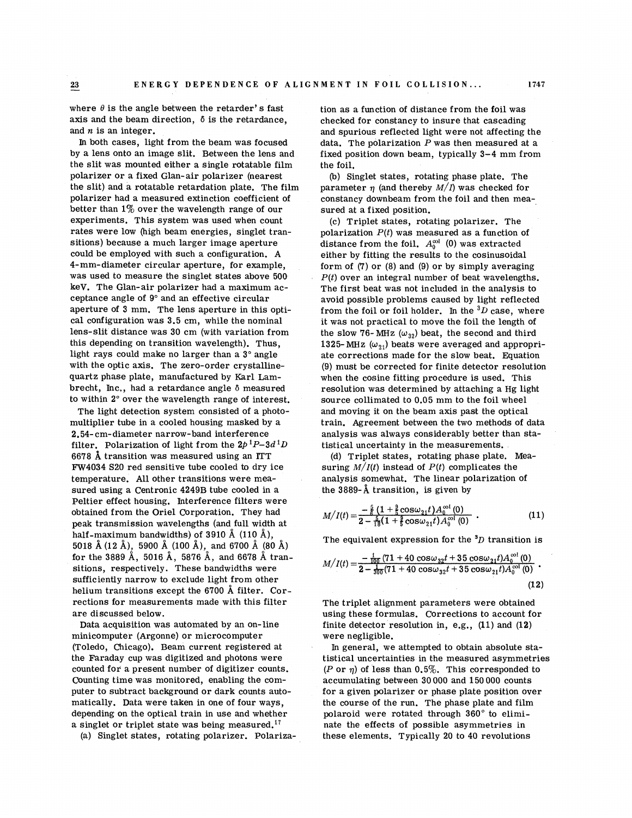where  $\theta$  is the angle between the retarder's fast axis and the beam direction, 6 is the retardance, and **n** is an integer.

In both cases, light from the beam was focused by a lens onto an image slit. Between the lens and the slit was mounted either a single rotatable film polarizer or a fixed Glan-air polarizer (nearest the slit) and a rotatable retardation plate. The film polarizer had a measured extinction coefficient of better than 1% over the wavelength range of our experiments. This system was used when count rates were low (high beam energies, singlet transitions) because a much larger image aperture could be employed with such a configuration. **A**  4-mm-diameter circular aperture, for example, was used to measure the singlet states above 500 keV. The Glan-air polarizer had a maximum acceptance angle of 9" and an effective circular aperture of 3 mm. The lens aperture in this optical configuration was 3.5 cm, while the nominal lens-slit distance was 30 cm (with variation from this depending on transition wavelength). Thus, light rays could make no larger than a  $3^\circ$  angle with the optic axis. The zero-order crystallinequartz phase plate, manufactured by Karl Lambrecht, Inc,, had a retardance angle 6 measured to within 2" over the wavelength range of interest.

The light detection system consisted of a photomultiplier tube in a cooled housing masked by a 2.54- cm-diameter narrow-band interference filter. Polarization of light from the  $2p^{1}P-3d^{1}D$ 6678 **a** transition was measured using an lTT FW4034 S20 red sensitive tube cooled to dry ice temperature. All other transitions were measured using a Centronic 4249B tube cooled in a Peltier effect housing. Interference filters were obtained from the Oriel Corporation. They had peak transmission wavelengths (and full width at half-maximum bandwidths) of 3910  $\AA$  (110  $\AA$ ), 5018 A (12 A), 5900 A (100 A), and 6700 A (80 **A)**  for the 3889 A, 5016 A, 5876 A, and 6678 **A** transitions, respectively. These bandwidths were sufficiently narrow to exclude light from other helium transitions except the 6700 **A** filter. Corrections for measurements made with this filter are discussed below.

Data acquisition was automated by an on-line minicomputer (Argonne) or microcomputer (Toledo, Chicago). Beam current registered at the Faraday cup was digitized and photons were counted for a present number of digitizer counts. Counting time was monitored, enabling the computer to subtract background or dark counts automatically. Data were taken in one of four ways, depending on the optical train in use and whether a singlet or triplet state was being measured.<sup>17</sup>

(a) Singlet states, rotating polarizer. Polariza-

tion as a function of distance from the foil was checked for constancy to insure that cascading and spurious reflected light were not affecting the data. The polarization  $P$  was then measured at a fixed position down beam, typically 3-4 mm from the foil.

@) Singlet states, rotating phase plate. The parameter  $\eta$  (and thereby  $M/I$ ) was checked for constancy downbeam from the foil and then measured at a fixed position.

(c) Triplet states, rotating polarizer. The polarization  $P(t)$  was measured as a function of distance from the foil.  $A_0^{\text{col}}$  (0) was extracted either by fitting the results to the cosinusoidal form of (7) or (8) and (9) or by simply averaging  $P(t)$  over an integral number of beat wavelengths. The first beat was not included in the analysis to avoid possible problems caused by light reflected from the foil or foil holder. In the  ${}^{3}D$  case, where it was not practical to move the foil the length of the slow 76-MHz ( $\omega_{32}$ ) beat, the second and third 1325-MHz  $(\omega_{21})$  beats were averaged and appropriate corrections made for the slow beat. Equation (9) must be corrected for finite detector resolution when the cosine fitting procedure is used. This resolution was determined by attaching a Hg light source collimated to 0.05 mm to the foil wheel and moving it on the beam axis past the optical train. Agreement between the two methods of data analysis was always considerably better than statistical uncertainty in the measurements.

(d) Triplet states, rotating phase plate. Measuring  $M/I(t)$  instead of  $P(t)$  complicates the analysis somewhat. The linear polarization of the 3889- $\AA$  transition, is given by

$$
M/I(t) = \frac{-\frac{5}{6}\left(1 + \frac{9}{5}\cos\omega_{21}t\right)A_0^{\text{col}}(0)}{2 - \frac{5}{16}\left(1 + \frac{9}{5}\cos\omega_{21}t\right)A_0^{\text{col}}(0)} \tag{11}
$$

The equivalent expression for the  ${}^3D$  transition is

$$
M/I(t) = \frac{-\frac{1}{100}(71+40\cos\omega_{32}t+35\cos\omega_{21}t)A_0^{\text{col}}(0)}{2-\frac{1}{300}(71+40\cos\omega_{32}t+35\cos\omega_{21}t)A_0^{\text{col}}(0)}.
$$
\n(12)

The triplet alignment parameters were obtained using these formulas. Corrections to account for finite detector resolution in, e.g., (11) and (12) were negligible.

In general, we attempted to obtain absolute statistical uncertainties in the measured asymmetries (P or  $\eta$ ) of less than 0.5%. This corresponded to accumulating between 30 000 and 150 000 counts for a given polarizer or phase plate position over the course of the run. The phase plate and film polaroid were rotated through 360" to eliminate the effects of possible asymmetries in these elements. Typically 20 to 40 revolutions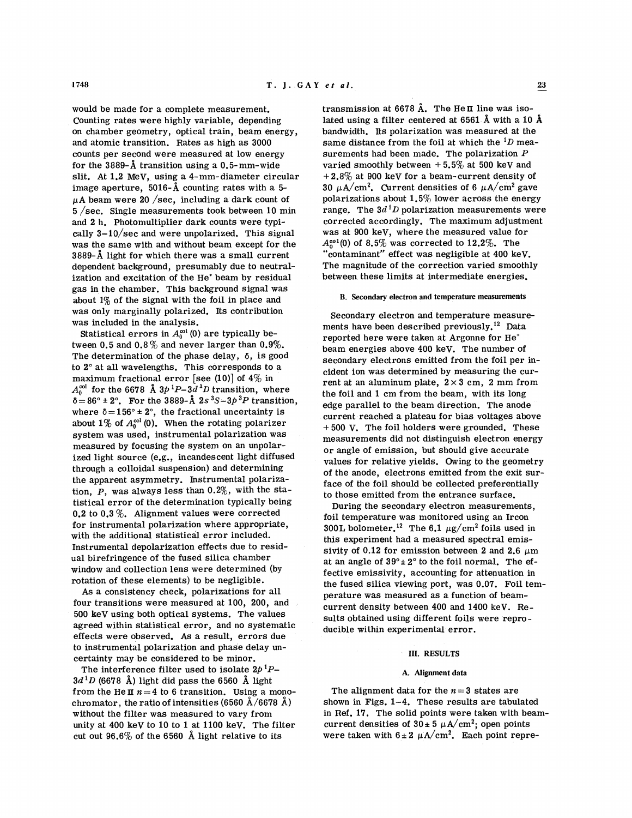would be made for a complete measurement. Counting rates were highly variable, depending on chamber geometry, optical train, beam energy, and atomic transition. Rates as high as 3000 counts per second were measured at low energy for the 3889-A transition using a 0.5-mm-wide slit. At 1.2 MeV, using a 4-mm- diameter circular image aperture, 5016-A counting rates with a 5-  $\mu$ A beam were 20 /sec, including a dark count of **5** /sec. Single measurements took between 10 min and 2 h. Photomultiplier dark counts were typically  $3-10/\text{sec}$  and were unpolarized. This signal was the same with and without beam except for the 3889-A light for which there was a small current dependent background, presumably due to neutralization and excitation of the He' beam by residual gas in the chamber. This background signal was about 1% of the signal with the foil in place and was only marginally polarized. Its contribution was included in the analysis.

Statistical errors in  $A_0^{\infty 1}(0)$  are typically between 0.5 and 0.8% and never larger than 0.9%. The determination of the phase delay,  $\delta$ , is good to 2" at all wavelengths. This corresponds to a maximum fractional error [see (10)] of  $4\%$  in  $A_0^{\text{col}}$  for the 6678 Å  $3p^1P-3d^1D$  transition, where  $\delta = 86^\circ \pm 2^\circ$ . For the 3889- $\AA$  2s <sup>3</sup>S-3p<sup>3</sup>P transition, where  $\delta = 156^{\circ} \pm 2^{\circ}$ , the fractional uncertainty is about  $1\%$  of  $A_0^{col}(0)$ . When the rotating polarizer system was used, instrumental polarization was measured by focusing the system on an unpolarized light source (e.g., incandescent light diffused through a colloidal suspension) and determining the apparent asymmetry. Instrumental polarization,  $P$ , was always less than  $0.2\%$ , with the statistical error of the determination typically being 0.2 to 0.3 %. Alignment values were corrected for instrumental polarization where appropriate, with the additional statistical error included. Instrumental depolarization effects due to residual birefringence of the fused silica chamber window and collection lens were determined (by rotation of these elements) to be negligible.

AS a consistency check, polarizations for all four transitions were measured at 100, 200, and 500 keV using both optical systems. The values agreed within statistical error, and no systematic effects were observed. As a result, errors due to instrumental polarization and phase delay uncertainty may be considered to be minor.

The interference filter used to isolate 2p *'P-* $3d<sup>1</sup>D$  (6678 Å) light did pass the 6560 Å light from the He $\pi$  *n*=4 to 6 transition. Using a monochromator, the ratio of intensities (6560 A/6678 **A)**  without the filter was measured to vary from unity at 400 keV to 10 to 1 at 1100 keV. The filter cut out  $96.6\%$  of the 6560 Å light relative to its

transmission at 6678 Å. The He**n** line was isolated using a filter centered at 6561 **A** with a 10 **A**  bandwidth. Its polarization was measured at the same distance from the foil at which the  ${}^{1}D$  measurements had been made. The polarization  $P$ varied smoothly between  $+5.5\%$  at 500 keV and  $+2.8\%$  at 900 keV for a beam-current density of 30  $\mu$ A/cm<sup>2</sup>. Current densities of 6  $\mu$ A/cm<sup>2</sup> gave polarizations about  $1.5\%$  lower across the energy range. The  $3d<sup>1</sup>D$  polarization measurements were corrected accordingly. The maximum adjustment was at 900 keV, where the measured value for  $A_0^{\text{col}}(0)$  of 8.5% was corrected to 12.2%. The "contaminant" effect was negligible at 400 keV. The magnitude of the correction varied smoothly between these limits at intermediate energies.

#### **B. Secondary electron and temperature measurements**

Secondary electron and temperature measurements have been described previously.<sup>12</sup> Data reported here were taken at Argonne for He' beam energies above 400 keV. The number of secondary electrons emitted from the foil per incident ion was determined by measuring the current at an aluminum plate,  $2 \times 3$  cm, 2 mm from the foil and 1 cm from the beam, with its long edge parallel to the beam direction. The anode current reached a plateau for bias voltages above + 500 V. The foil holders were grounded. These measurements did not distinguish electron energy or angle of emission, but should give accurate values for relative yields. Owing to the geometry of the anode, electrons emitted from the exit surface of the foil should be collected preferentially to those emitted from the entrance surface.

During the secondary electron measurements, foil temperature was monitored using an Ircon 300L bolometer.<sup>12</sup> The 6.1  $\mu$ g/cm<sup>2</sup> foils used in this experiment had a measured spectral emissivity of 0.12 for emission between 2 and 2.6  $\mu$ m at an angle of  $39^\circ \pm 2^\circ$  to the foil normal. The effective emissivity, accounting for attenuation in the fused silica viewing port, was 0.07. Foil temperature was measured as a function of beamcurrent density between 400 and 1400 keV. Results obtained using different foils were reproducible within experimental error.

#### **111. RESULTS**

#### **A. Alignment data**

The alignment data for the  $n=3$  states are shown in Figs. 1-4. These results are tabulated in Ref. 17. The solid points were taken with beamcurrent densities of  $30 \pm 5 \mu A/cm^2$ ; open points were taken with  $6 \pm 2 \mu A/cm^2$ . Each point repre-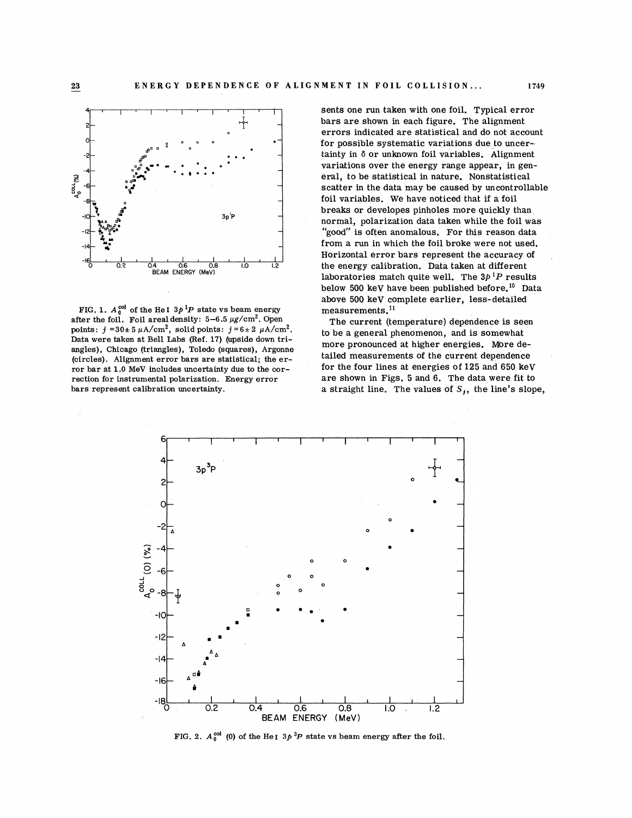

FIG. 1.  $A_0^{col}$  of the He I  $3p^1P$  state vs beam energy after the foil. Foil areal density:  $5-6.5 \mu g/cm^2$ . Open points:  $j = 30 \pm 5 \mu A/cm^2$ , solid points:  $j = 6 \pm 2 \mu A/cm^2$ . Data were taken at Bell Labs (Ref. 17) (upside down triangles), Chicago (triangles), Toledo (squares), Argonne (circles). Alignment error bars are statistical; the error bar at 1.0 MeV includes uncertainty due to the correction for instrumental polarization. Energy error bars represent calibration uncertainty.

sents one run taken with one foil. Typical error bars are shown in each figure. The alignment errors indicated are statistical and do not account for possible systematic variations due to uncertainty in 6 or unknown foil variables. Alignment variations over the energy range appear, in general, to be statistical in nature. Nonstatistical scatter in the data may be caused by uncontrollable foil variables. We have noticed that if a foil breaks or developes pinholes more quickly than normal, polarization data taken while the foil was "good" is often anomalous. For this reason data from a run in which the foil broke were not used. Horizontal error bars represent the accuracy of laboratories match quite well. The  $3p^{1}P$  results below 500 keV have been published before.<sup>10</sup> Data above 500 keV complete earlier, less-detailed measurements.<sup>11</sup>

The current (temperature) dependence is seen to be a general phenomenon, and is somewhat more pronounced at higher energies. More detailed measurements of the current dependence for the four lines at energies of 125 and 650 keV are shown in Figs. 5 and 6. The data were fit to a straight line. The values of  $S_i$ , the line's slope,



FIG. 2.  $A_0^{col}$  (0) of the He<sub>I</sub>  $3p^3P$  state vs beam energy after the foil.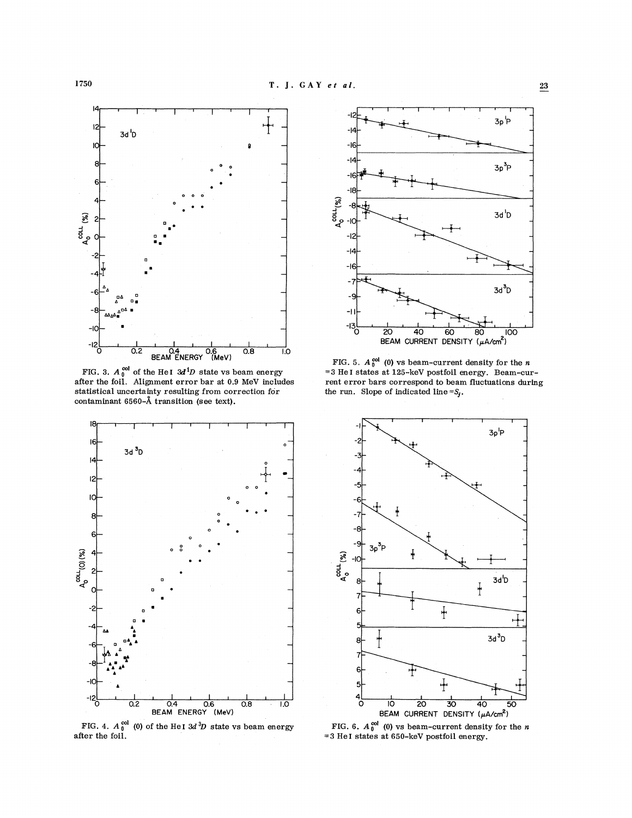

after the foil. Alignment error bar at 0.9 MeV includes rent error bars correspond to beam fluctuations during statistical uncertainty resulting from correction for the run. Slope of indicated line =S<sub>j</sub>. contaminant 6560-A transition (see text).



FIG. 4.  $A_0^{col}$  (0) of the HeI  $3d<sup>3</sup>D$  state vs beam energy after the foil.



 $\frac{0.6}{0.8}$  0.8 1.0<br>
(MeV) FIG. 5.  $A_0^{\text{col}}$  (0) vs beam-current density for the *n*<br>
tate vs beam energy = 3 He I states at 125-keV postfoil energy. Beam-cur-FIG. 3.  $A_0^{00}$  of the HeI  $3d^1D$  state vs beam energy  $=3$  HeI states at 125-keV postfoil energy. Beam-cur-



FIG. 6.  $A_0^{col}$  (0) vs beam-current density for the *n* **=3** He **1** states at 650-keV postfoil energy.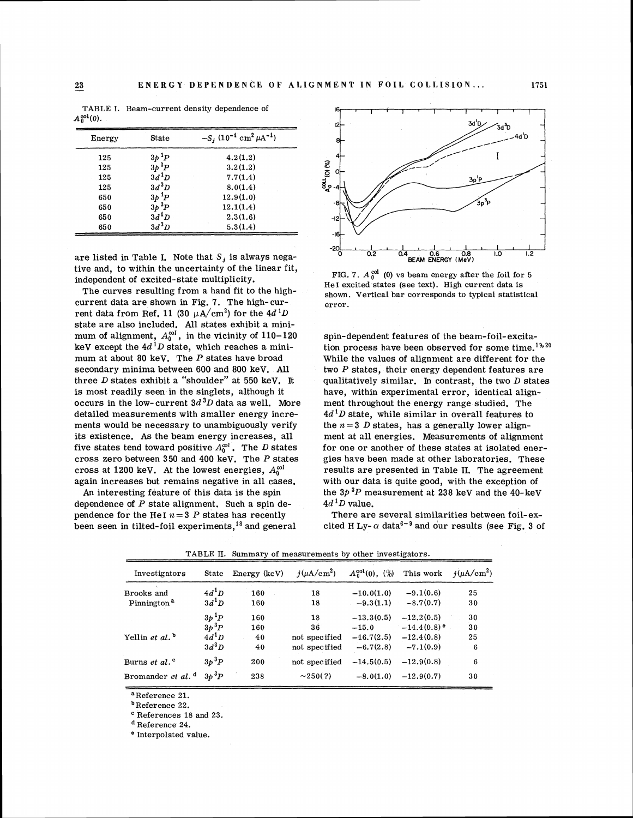| .      |                 |                                                                  |
|--------|-----------------|------------------------------------------------------------------|
| Energy | State           | $-S_i$ (10 <sup>-4</sup> cm <sup>2</sup> $\mu$ A <sup>-1</sup> ) |
| 125    | $3p^{1}P$       | 4.2(1.2)                                                         |
| 125    | $3p~^3P$        | 3.2(1.2)                                                         |
| 125    | $3d^1D$         | 7.7(1.4)                                                         |
| 125    | $3d^3D$         | 8.0(1.4)                                                         |
| 650    | $3p~^1\!P$      | 12.9(1.0)                                                        |
| 650    | $3p\,{}^{3}\!P$ | 12.1(1.4)                                                        |
| 650    | $3d^1D$         | 2.3(1.6)                                                         |
| 650    | $3d^3D$         | 5.3(1.4)                                                         |

TABLE I. Beam-current density dependence of  $A<sub>0</sub><sup>sol</sup>(0)$ .

are listed in Table I. Note that  $S_i$  is always negative and, to within the uncertainty of the linear fit, independent of excited-state multiplicity.

The curves resulting from a hand fit to the highcurrent data are shown in Fig. 7. The high-current data from Ref. 11 (30  $\mu$ A/cm<sup>2</sup>) for the 4d<sup>1</sup>D state are also included. All states exhibit a minimum of alignment,  $A_0^{\infty l}$ , in the vicinity of 110-120 keV except the  $4d<sup>1</sup>D$  state, which reaches a minimum at about 80 keV. The  $P$  states have broad secondary minima between 600 and 800 keV. All three D states exhibit a "shoulder" at 550 keV. It is most readily seen in the singlets, although it occurs in the low-current  $3d<sup>3</sup>D$  data as well. More detailed measurements with smaller energy increments would be necessary to unambiguously verify its existence. As the beam energy increases, all five states tend toward positive  $A_0^{\infty l}$ . The D states cross zero between 350 and 400 keV. The P states cross at 1200 keV. At the lowest energies,  $A_0^{\infty}$ again increases but remains negative in all cases.

An interesting feature of this data is the spin dependence of  $P$  state alignment. Such a spin dependence for the HeI  $n = 3$  P states has recently been seen in tilted-foil experiments,18 and general



FIG. 7.  $A_0^{col}$  (0) vs beam energy after the foil for 5 He1 excited states (see text). High current data is shown. Vertical bar corresponds to typical statistical error.

spin-dependent features of the beam-foil-excitation process have been observed for some time.<sup>19,20</sup> While the values of alignment are different for the two  $P$  states, their energy dependent features are qualitatively similar. In contrast, the two  $D$  states have, within experimental error, identical alignment throughout the energy range studied. The  $4d<sup>1</sup>D$  state, while similar in overall features to the  $n = 3$  D states, has a generally lower alignment at all energies. Measurements of alignment for one or another of these states at isolated energies have been made at other laboratories. These results are presented in Table 11. The agreement with our data is quite good, with the exception of the *3P 3P* measurement at 238 keV and the 40-keV  $4d<sup>1</sup>D$  value.

There are several similarities between foil-excited H Ly- $\alpha$  data<sup>6-9</sup> and our results (see Fig. 3 of

| Investigators                 | State                 | Energy (keV) | $i(\mu A/cm^2)$ | $A_0^{\text{col}}(0)$ , $(\%)$ | This work                 | $i(\mu A/cm^2)$ |
|-------------------------------|-----------------------|--------------|-----------------|--------------------------------|---------------------------|-----------------|
| Brooks and                    | $4d^1D$               | 160          | 18              | $-10.0(1.0)$                   | $-9.1(0.6)$               | 25              |
| Pinnington <sup>a</sup>       | $3d^1D$               | 160          | 18              | $-9.3(1.1)$                    | $-8.7(0.7)$               | 30              |
|                               | $3p^{1}P$             | 160          | 18              | $-13.3(0.5)$                   | $-12,2(0.5)$              | 30              |
|                               | $3p$ <sup>3</sup> $P$ | 160          | $36^{\circ}$    | $-15.0$                        | $-14.4(0.8)$ <sup>e</sup> | 30              |
| Yellin et al. $\mathfrak{b}$  | $4d^1D$               | 40           | not specified   | $-16.7(2.5)$                   | $-12.4(0.8)$              | 25              |
|                               | $3d^3D$               | 40           | not specified   | $-6.7(2.8)$                    | $-7.1(0.9)$               | 6               |
| Burns et al. <sup>c</sup>     | $3p^{3}P$             | 200          | not specified   | $-14.5(0.5)$                   | $-12.9(0.8)$              | 6               |
| Bromander et al. <sup>d</sup> | $3b$ <sup>3</sup> $P$ | 238          | $\sim$ 250(?)   | $-8.0(1.0)$                    | $-12.9(0.7)$              | 30              |

TABLE 11. Summary of measurements by other investigators.

a Reference 21.

'Reference 22.

References 18 and 23.

Reference 24.

<sup>e</sup> Interpolated value.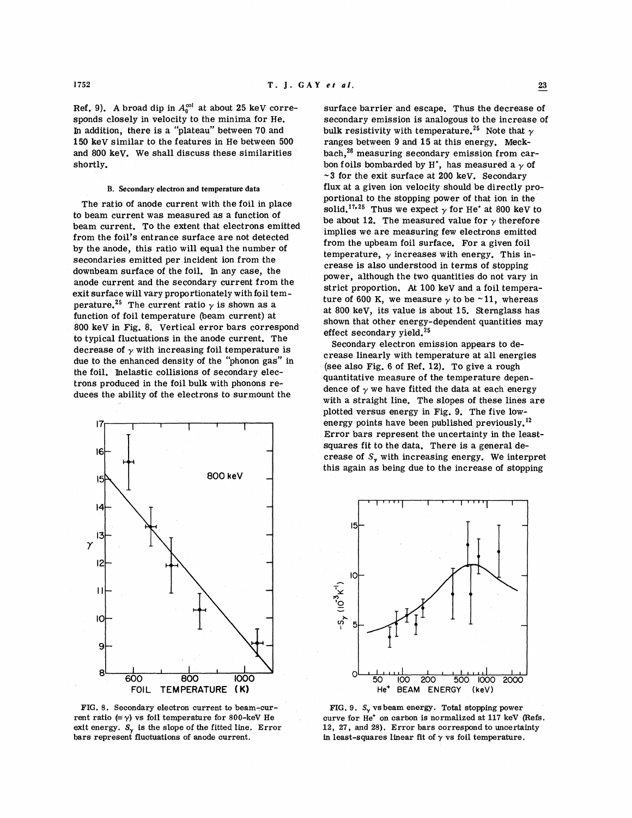sponds closely in velocity to the minima for He. secondary emission is analogous to the increase of In addition, there is a "plateau" between 70 and bulk resistivity with temperature.<sup>25</sup> Note that  $\gamma$ 150 keV similar to the features in He between 500 and 800 keV. We shall discuss these similarities

The ratio of anode current with the foil in place to beam current was measured as a function of beam current. To the extent that electrons emitted from the foil's entrance surface are not detected by the anode, this ratio will equal the number of secondaries emitted per incident ion from the downbeam surface of the foil. In any case, the anode current and the secondary current from the exit surface will vary proportionately with foil temperature.<sup>25</sup> The current ratio  $\gamma$  is shown as a function of foil temperature (beam current) at 800 keV in Fig. 8. Vertical error bars correspond to typical fluctuations in the anode current. The decrease of  $\gamma$  with increasing foil temperature is due to the enhanced density of the "phonon gas" in the foil. Inelastic collisions of secondary electrons produced in the foil bulk with phonons reduces the ability of the electrons to surmount the



FIG. 8. Secondary electron current to beam-current ratio  $(\equiv \gamma)$  vs foil temperature for 800-keV He exit energy.  $S_{\gamma}$  is the slope of the fitted line. Error bars represent fluctuations of anode current.

Ref. 9). A broad dip in  $A_0^{\text{col}}$  at about 25 keV corre-<br>surface barrier and escape. Thus the decrease of<br>sponds closely in velocity to the minima for He.<br>secondary emission is analogous to the increase of bulk resistivity with temperature.<sup>25</sup> Note that  $\gamma$  ranges between 9 and 15 at this energy. Meckbach,<sup>26</sup> measuring secondary emission from carshortly. **bon** foils bombarded by  $H^*$ , has measured a  $\gamma$  of **-3** for the exit surface at 200 keV. Secondary B. Secondary electron and temperature data flux at a given ion velocity should be directly proportional to the stopping power of that ion in the solid.<sup>17,25</sup> Thus we expect  $\gamma$  for He<sup>+</sup> at 800 keV to be about 12. The measured value for  $\gamma$  therefore implies we are measuring few electrons emitted from the upbeam foil surface. For a given foil temperature,  $\gamma$  increases with energy. This increase is also understood in terms of stopping power, although the two quantities do not vary in strict proportion. **At** 100 keV and a foil temperature of 600 K, we measure  $\gamma$  to be  $\sim$  11, whereas at 800 keV, its value is about 15. Sternglass has shown that other energy-dependent quantities may effect secondary yield.<sup>25</sup>

> Secondary electron emission appears to decrease linearly with temperature at all energies (see also Fig. 6 of Ref. 12). To give a rough quantitative measure of the temperature dependence of  $\gamma$  we have fitted the data at each energy with a straight line. The slopes of these lines are plotted versus energy in Fig. 9. The five lowenergy points have been published previously.<sup>12</sup> Error bars represent the uncertainty in the leastsquares fit to the data. There is a general decrease of S, with increasing energy. We interpret this again as being due to the increase of stopping



FIG. 9.  $S_v$  vs beam energy. Total stopping power curve for He' on carbon is normalized at 117 keV (Refs. 12, 27, and 28). Error bars correspond to uncertainty in least-squares linear fit of  $\gamma$  vs foil temperature.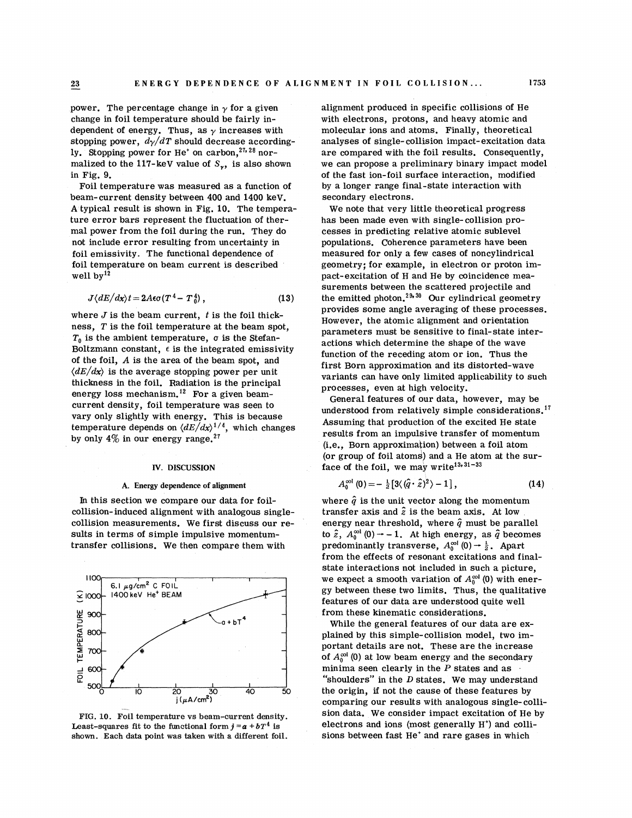power. The percentage change in  $\gamma$  for a given change in foil temperature should be fairly independent of energy. Thus, as  $\gamma$  increases with stopping power,  $d\gamma/dT$  should decrease accordingly. Stopping power for He<sup>+</sup> on carbon,<sup>27,28</sup> normalized to the 117-keV value of  $S_{\gamma}$ , is also shown in Fig. 9.

Foil temperature was measured as a function of beam-current density between 400 and 1400 keV. A typical result is shown in Fig. 10. The temperature error bars represent the fluctuation of thermal power from the foil during the run. They do not include error resulting from uncertainty in foil emissivity. The functional dependence of foil temperature on beam current is described well  $bv^{12}$ 

$$
J\langle dE/dx \rangle t = 2A\epsilon\sigma (T^4 - T_0^4) , \qquad (13)
$$

where  $J$  is the beam current,  $t$  is the foil thickness,  $T$  is the foil temperature at the beam spot,  $T_0$  is the ambient temperature,  $\sigma$  is the Stefan-Boltzmann constant,  $\epsilon$  is the integrated emissivity of the foil, *A* is the area of the beam spot, and  $\langle dE/dx \rangle$  is the average stopping power per unit thickness in the foil. Radiation is the principal energy loss mechanism.<sup>12</sup> For a given beamcurrent density, foil temperature was seen to vary only slightly with energy. This is because temperature depends on  $\langle dE/dx \rangle^{1/4}$ , which changes by only  $4\%$  in our energy range.<sup>27</sup>

#### **IV. DISCUSSION**

#### **A. Energy dependence of alignment**

In this section we compare our data for foilcollision- induced alignment with analogous singlecollision measurements. We first discuss our results in terms of simple impulsive momentumtransfer collisions. We then compare them with



FIG. 10. Foil temperature vs beam-current density. Least-squares fit to the functional form  $j = a + bT^4$  is shown. Each data point was taken with a different foil.

alignment produced in specific collisions of He with electrons, protons, and heavy atomic and molecular ions and atoms. Finally, theoretical analyses of single-collision impact-excitation data are compared with the foil results. Consequently, we can propose a preliminary binary impact model of the fast ion-foil surface interaction, modified by a longer range final-state interaction with secondary electrons.

We note that very little theoretical progress has been made even with single- collision processes in predicting relative atomic sublevel populations. Coherence parameters have been measured for only a few cases of noncylindrical geometry; for example, in electron or proton impact-excitation of H and He by coincidence measurements between the scattered projectile and the emitted photon.<sup>29,30</sup> Our cylindrical geometry provides some angle averaging of these processes. However, the atomic alignment and orientation parameters must be sensitive to final-state interactions which determine the shape of the wave function of the receding atom or ion. Thus the first Born approximation and its distorted-wave variants can have only limited applicability to such processes, even at high velocity.

General features of our data, however, may be understood from relatively simple considerations.<sup>17</sup> Assuming that production of the excited He state results from an impulsive transfer of momentum (i.e., Born approximation) between a foil atom (or group of foil atoms) and a He atom at the surface of the foil, we may write<sup>13, 31-33</sup>

$$
A_0^{\text{col}}(0) = -\frac{1}{2} \left[ 3 \langle \left( \hat{q} \cdot \hat{z} \right)^2 \rangle - 1 \right], \tag{14}
$$

 $A_0^{(m)}(0) = -\frac{1}{2} [3(1-q^2)(q^2 - 1)]$ ,<br>where  $\hat{q}$  is the unit vector along the momentum transfer axis and  $\hat{z}$  is the beam axis. At low energy near threshold, where  $\hat{q}$  must be parallel to  $\hat{z}$ ,  $A_0^{\infty 1}(0) \rightarrow -1$ . At high energy, as  $\hat{q}$  becomes predominantly transverse,  $A_0^{\text{col}}(0) \rightarrow \frac{1}{2}$ . Apart from the effects of resonant excitations and finalstate interactions not included in such a picture, we expect a smooth variation of  $A_0^{\text{col}}(0)$  with energy between these two limits. Thus, the qualitative features of our data are understood quite well from these kinematic considerations.

While the general features of our data are explained by this simple-collision model, two important details are not. These are the increase of  $A_0^{\infty}$ <sup>(0)</sup> at low beam energy and the secondary minima seen clearly in the P states and as "shoulders" in the  $D$  states. We may understand the origin, if not the cause of these features by comparing our results with analogous single- collision data. We consider impact excitation of He by electrons and ions (most generally H') and collisions between fast He' and rare gases in which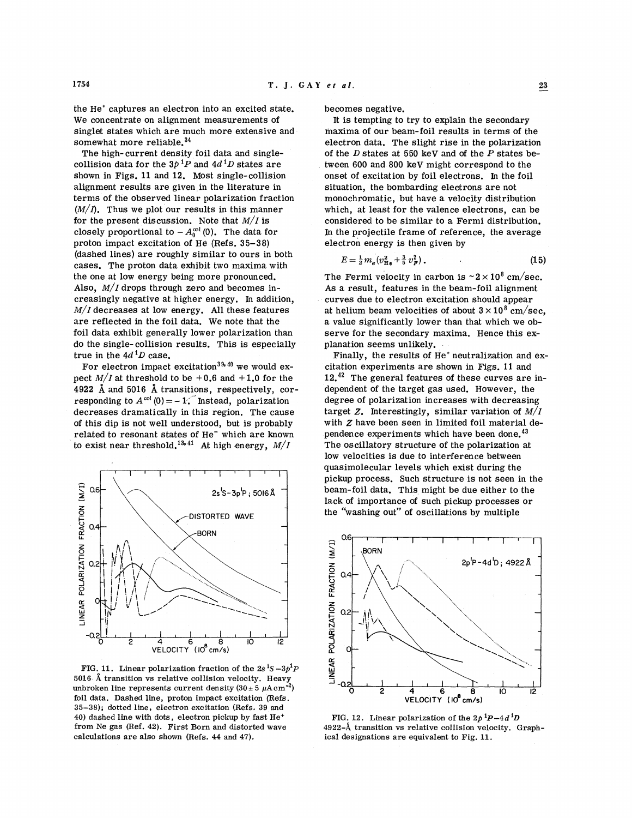the He' captures an electron into an excited state. We concentrate on alignment measurements of singlet states which are much more extensive and somewhat more reliable.<sup>34</sup>

The high- current density foil data and singlecollision data for the  $3p^{1}P$  and  $4d^{1}D$  states are shown in Figs. 11 and 12. Most single-collision alignment results are given in the literature in terms of the observed linear polarization fraction  $(M/I)$ . Thus we plot our results in this manner for the present discussion. Note that *M/I* is closely proportional to  $-A_0^{\infty}$  (0). The data for proton impact excitation of He (Refs. 35-38) (dashed lines) are roughly similar to ours in both cases. The proton data exhibit two maxima with the one at low energy being more pronounced. Also,  $M/I$  drops through zero and becomes increasingly negative at higher energy. In addition,  $M/I$  decreases at low energy. All these features are reflected in the foil data. We note that the foil data exhibit generally lower polarization than do the single- collision results. This is especially true in the  $4d^{1}D$  case.

For electron impact excitation<sup>39, 40</sup> we would expect  $M/I$  at threshold to be +0.6 and +1.0 for the 4922 **A** and 5016 **A** transitions, respectively, corresponding to  $A^{\text{col}}(0) = -1$ . Instead, polarization decreases dramatically in this region. The cause of this dip is not well understood, but is probably related to resonant states of He<sup>-</sup> which are known to exist near threshold.<sup>13,41</sup> At high energy,  $M/I$ 



**FIG. 11.** Linear polarization fraction of the  $2s<sup>1</sup>S - 3p<sup>1</sup>P$ 5016 Å transition vs relative collision velocity. Heavy unbroken line represents current density  $(30 \pm 5 \mu \text{A cm}^{-2})$ foil data. Dashed line, proton impact excitation (Refs. *35-38);* dotted line, electron excitation (Refs. *39* and *40)* dashed line with dots, electron pickup by fast He+ from Ne gas (Ref. **42).** First Born and distorted wave calculations are also shown (Refs. *44* and *47).* 

becomes negative.

It is tempting to try to explain the secondary maxima of our beam-foil results in terms of the electron data. The slight rise in the polarization of the  $D$  states at 550 keV and of the  $P$  states between  $600$  and  $800$  keV might correspond to the onset of excitation by foil electrons. In the foil situation, the bombarding electrons are not monochromatic, but have a velocity distribution which, at least for the valence electrons, can be considered to be similar to a Fermi distribution. In the projectile frame of reference, the average electron energy is then given by

$$
E = \frac{1}{2} m_e (v_{\text{H}_B}^2 + \frac{3}{5} v_F^2). \tag{15}
$$

The Fermi velocity in carbon is  $\sim 2 \times 10^8$  cm/sec. As a result, features in the beam-foil alignment curves due to electron excitation should appear at helium beam velocities of about  $3 \times 10^8$  cm/sec, a value significantly lower than that which we observe for the secondary maxima. Hence this explanation seems unlikely.

Finally, the results of He' neutralization and excitation experiments are shown in Figs. 11 and  $12.^{42}$  The general features of these curves are independent of the target gas used. However, the degree of polarization increases with decreasing target **2.** Interestingly, similar variation of *M/I*  with **Z** have been seen in limited foil material dependence experiments which have been done.<sup>43</sup> The oscillatory structure of the polarization at low velocities is due to interference between quasimolecular levels which exist during the pickup process. Such structure is not seen in the beam-foil data. This might be due either to the lack of importance of such pickup processes or the "washing out" of oscillations by multiple



**FIG. 12.** Linear polarization of the  $2p^{1}P-4d^{1}D$ *4922-A* transition vs relative collision velocity. Graphical designations are equivalent to Fig. *11.*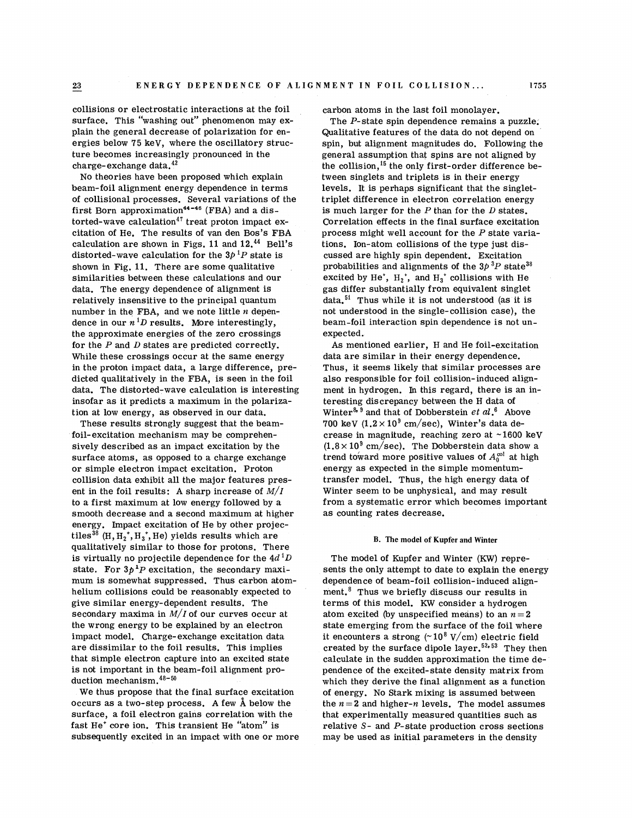collisions or electrostatic interactions at the foil surface. This "washing out" phenomenon may explain the general decrease of polarization for energies below 75 keV, where the oscillatory structure becomes increasingly pronounced in the charge-exchange data.<sup>42</sup>

No theories have been proposed which explain beam-foil alignment energy dependence in terms of collisional processes. Several variations of the first Born approximation<sup>44-46</sup> (FBA) and a distorted-wave calculation<sup>47</sup> treat proton impact excitation of He. The results of van den Bos's FBA calculation are shown in Figs. 11 and  $12.^{44}$  Bell's distorted-wave calculation for the  $3p<sup>1</sup>P$  state is shown in Fig. 11. There are some qualitative similarities between these calculations and our data. The energy dependence of alignment is relatively insensitive to the principal quantum number in the FBA, and we note little  $n$  dependence in our  $n<sup>1</sup>D$  results. More interestingly, the approximate energies of the zero crossings for the  $P$  and  $D$  states are predicted correctly. While these crossings occur at the same energy in the proton impact data, a large difference, predicted qualitatively in the FBA, is seen in the foil data. The distorted-wave calculation is interesting insofar as it predicts a maximum in the polarization at low energy, as observed in our data.

These results strongly suggest that the beamfoil-excitation mechanism may be comprehensively described as an impact excitation by the surface atoms, as opposed to a charge exchange or simple electron impact excitation. Proton collision data exhibit all the major features present in the foil results: **A** sharp increase of *M/I*  to a first maximum at low energy followed by a smooth decrease and a second maximum at higher energy. Impact excitation of He by other projectiles<sup>38</sup> (H,  $H_2$ <sup>+</sup>,  $H_3$ <sup>+</sup>, He) yields results which are qualitatively similar to those for protons. There is virtually no projectile dependence for the  $4d<sup>1</sup>D$ state. For  $3p^{1}P$  excitation, the secondary maximum is somewhat suppressed. Thus carbon atomhelium collisions could be reasonably expected to give similar energy-dependent results. The secondary maxima in *M/I* of our curves occur at the wrong energy to be explained by an electron impact model. Charge-exchange excitation data are dissimilar to the foil results. This implies that simple electron capture into an excited state is not important in the beam-foil alignment production mechanism. $48-50$ 

We thus propose that the final surface excitation occurs as a two-step process. **A** few **a** below the surface, a foil electron gains correlation with the fast He' core ion. This transient He "atom" is subsequently excited in an impact with one or more carbon atoms in the last foil monolayer.

The P-state spin dependence remains a puzzle. Qualitative features of the data do not depend on spin, but alignment magnitudes do. Following the general assumption that spins are not aligned by the collision,  $^{15}$  the only first-order difference between singlets and triplets is in their energy levels. It is perhaps significant that the singlettriplet difference in electron correlation energy is much larger for the  $P$  than for the  $D$  states. Correlation effects in the final surface excitation process might well account for the  $P$  state variations. Ion-atom collisions of the type just discussed are highly spin dependent. Excitation probabilities and alignments of the  $3p^{3}P$  state<sup>38</sup> excited by He<sup>+</sup>,  $H_2$ <sup>+</sup>, and  $H_3$ <sup>+</sup> collisions with He gas differ substantially from equivalent singlet data. $51$  Thus while it is not understood (as it is not understood in the single-collision case), the beam-foil interaction spin dependence is not unexpected.

As mentioned earlier, H and He foil-excitation data are similar in their energy dependence. Thus, it seems likely that similar processes are also responsible for foil collision-induced alignment in hydrogen. In this regard, there is an interesting discrepancy between the H data of Winter<sup>8, 9</sup> and that of Dobberstein et  $al.^6$  Above 700 keV  $(1.2 \times 10^9 \text{ cm/sec})$ , Winter's data decrease in magnitude, reaching zero at  $\sim$ 1600 keV  $(1.8\times10^{9} \text{ cm/sec})$ . The Dobberstein data show a trend toward more positive values of  $A_0^{\infty!}$  at high energy as expected in the simple momentumtransfer model. Thus, the high energy data of Winter seem to be unphysical, and may result from a systematic error which becomes important as counting rates decrease.

#### **B. The model of Kupfer and Winter**

The model of Kupfer and Winter (KW) represents the only attempt to date to explain the energy dependence of beam-foil collision-induced alignment. $8$  Thus we briefly discuss our results in terms of this model. KW consider a hydrogen atom excited (by unspecified means) to an  $n = 2$ state emerging from the surface of the foil where it encounters a strong  $(10^8 \text{ V/cm})$  electric field created by the surface dipole layer.<sup>52,53</sup> They then calculate in the sudden approximation the time dependence of the excited-state density matrix from which they derive the final alignment as a function of energy. No Stark mixing is assumed between the  $n = 2$  and higher-n levels. The model assumes that experimentally measured quantities such as relative S- and P-state production cross sections may be used as initial parameters in the density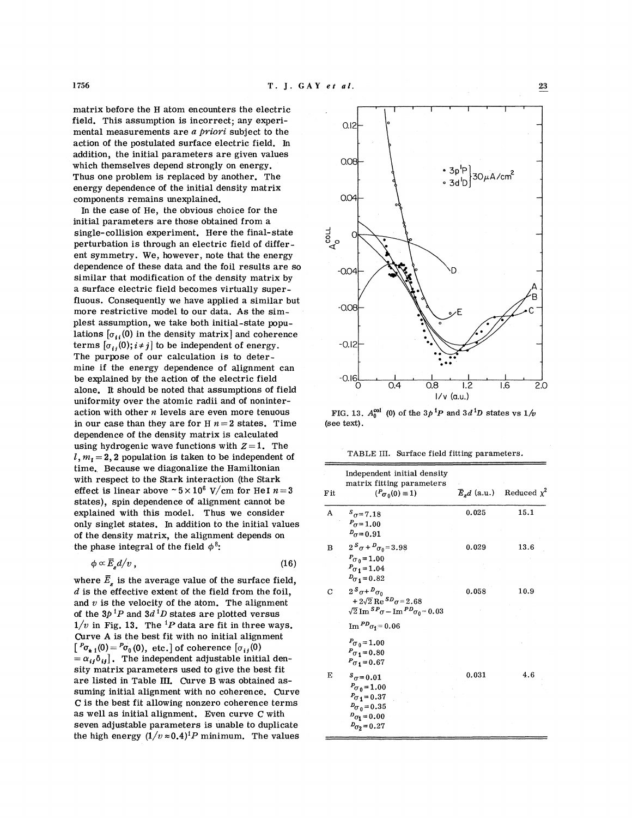matrix before the H atom encounters the electric field. This assumption is incorrect; any experimental measurements are a *priovi* subject to the action of the postulated surface electric field. In addition, the initial parameters are given values which themselves depend strongly on energy. Thus one problem is replaced by another. The energy dependence of the initial density matrix components remains unexplained.

In the case of He, the obvious choice for the initial parameters are those obtained from a single-collision experiment. Here the final-state perturbation is through an electric field of different symmetry. We, however, note that the energy dependence of these data and the foil results are so similar that modification of the density matrix by a surface electric field becomes virtually superfluous. Consequently we have applied a similar but more restrictive model to our data. As the simplest assumption, we take both initial-state populations  $[\sigma_{ii}(0)$  in the density matrix] and coherence terms  $[\sigma_{ij}(0); i \neq j]$  to be independent of energy. The purpose of our calculation is to determine if the energy dependence of alignment can be explained by the action of the electric field alone. It should be noted that assumptions of field uniformity over the atomic radii and of noninteraction with other  $n$  levels are even more tenuous in our case than they are for  $H$   $n = 2$  states. Time dependence of khe density matrix is calculated using hydrogenic wave functions with  $Z=1$ . The  $l, m<sub>1</sub> = 2, 2$  population is taken to be independent of time. Because we diagonalize the Hamiltonian with respect to the Stark interaction (the Stark effect is linear above  $\sim 5 \times 10^6$  V/cm for HeI  $n = 3$ states), spin dependence of alignment cannot be explained with this model. Thus we consider only singlet states. In addition to the initial values of the density matrix, the alignment depends on the phase integral of the field  $\phi^8$ :

$$
\phi \propto \overline{E}_s d/v \,, \tag{16}
$$

where  $\bar{E}_r$  is the average value of the surface field,  $d$  is the effective extent of the field from the foil, and  $v$  is the velocity of the atom. The alignment of the  $3p^{1}P$  and  $3d^{1}D$  states are plotted versus  $1/v$  in Fig. 13. The <sup>1</sup>P data are fit in three ways. Curve A is the best fit with no initial alignment  $[^{P}\sigma_{\pm 1}(0) = {^P}\sigma_0(0)$ , etc.] of coherence  $[\sigma_{ij}(0)]$  $= \alpha_{ij} \delta_{ij}$ . The independent adjustable initial density matrix parameters used to give the best fit are listed in Table **111.** Curve B was obtained assuming initial alignment with no coherence. Curve C is the best fit allowing nonzero coherence terms as well as initial alignment. Even curve C with seven adjustable parameters is unable to duplicate the high energy  $(1/v \approx 0.4)^1 P$  minimum. The values



FIG. 13.  $A_0^{col}$  (0) of the  $3p^1P$  and  $3d^1D$  states vs  $1/v$ (see text).

TABLE 111. Surface field fitting parameters.

| F it | Independent initial density<br>matrix fitting parameters<br>$(P_{\sigma_0}(0) \equiv 1)$                                                                                   |       | $\overline{E}_d d$ (a.u.) Reduced $\chi^2$ |
|------|----------------------------------------------------------------------------------------------------------------------------------------------------------------------------|-------|--------------------------------------------|
| A    | $s_{\sigma=7.18}$<br>$P_{\sigma} = 1.00$<br>$D_{\sigma} = 0.91$                                                                                                            | 0.025 | 15.1                                       |
| B    | $2^{s} \sigma + D_{\sigma} = 3.98$<br>$P_{\sigma} = 1.00$<br>$P_{\sigma_1} = 1.04$<br>$D_{\sigma_1} = 0.82$                                                                | 0.029 | 13.6                                       |
| С    | $2^s \sigma + D_{\sigma}$<br>$+2\sqrt{2}$ Re ${}^{SD}\sigma = 2.68$<br>$\sqrt{2}$ Im ${}^{S}P_{\sigma}$ – Im ${}^{PD}\sigma_0$ = 0.03<br>$\mathrm{Im} P^D \sigma_1 = 0.06$ | 0.058 | 10.9                                       |
|      | $P_{\sigma} = 1.00$<br>$P_{\sigma_1} = 0.80$<br>$P_{\sigma_1} = 0.67$                                                                                                      |       |                                            |
| Е    | $s_{\sigma=0.01}$<br>$P_{\sigma_0} = 1.00$<br>$P_{0,1} = 0.37$<br>$D_{\sigma_0} = 0.35$<br>$D_{\sigma_1}=0.00$<br>$D_{0.2} = 0.27$                                         | 0.031 | 4.6                                        |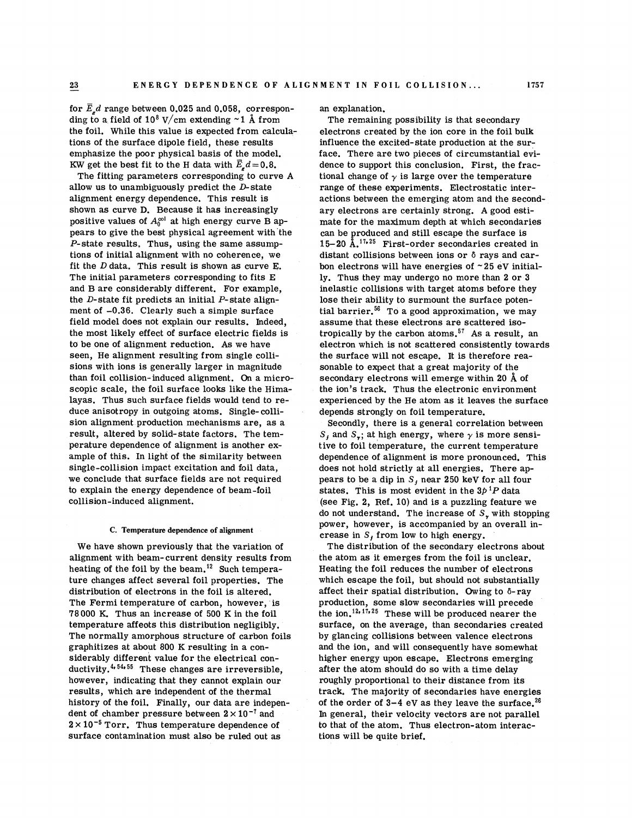for  $\bar{E}_z d$  range between 0.025 and 0.058, corresponding to a field of  $10^8$  V/cm extending  $\sim$  1 Å from the foil. While this value is expected from calculations of the surface dipole field, these results emphasize the poor physical basis of the model. KW get the best fit to the H data with  $\vec{E}_s d = 0.8$ .

The fitting parameters corresponding to curve A allow us to unambiguously predict the  $D$ -state alignment energy dependence. This result is shown as curve D. Because it has increasingly positive values of  $A_0^{\text{col}}$  at high energy curve B appears to give the best physical agreement with the P-state results, Thus, using the same assumptions of initial alignment with no coherence, we fit the  $D$  data. This result is shown as curve E. The initial parameters corresponding to fits E and B are considerably different. For example, the  $D$ -state fit predicts an initial  $P$ -state alignment of  $-0.36$ . Clearly such a simple surface field model does not explain our results. Indeed, the most likely effect of surface electric fields is to be one of alignment reduction. As we have seen, He alignment resulting from single collisions with ions is generally larger in magnitude than foil collision- induced alignment. On a microscopic scale, the foil surface looks like the Himalayas. Thus such surface fields would tend to reduce anisotropy in outgoing atoms. Single- collision alignment production mechanisms are, as a result, altered by solid-state factors. The temperature dependence of alignment is another example of this. In light of the similarity between single-collision impact excitation and foil data, we conclude that surface fields are not required to explain the energy dependence of beam-foil collision-induced alignment.

#### **C. Temperature dependence of alignment**

We have shown previously that the variation of alignment with beam-current density results from heating of the foil by the beam.<sup>12</sup> Such temperature changes affect several foil properties. The distribution of electrons in the foil is altered. The Fermi temperature of carbon, however, is *78 000* K. Thus an increase of *500* K in the foil temperature affeots this distribution negligibly. The normally amorphous structure of carbon foils graphitizes at about *800* K resulting in a considerably different value for the electrical conductivity. $4.54.55$  These changes are irreversible, however, indicating that they cannot explain our results, which are independent of the thermal history of the foil. Finally, our data are independent of chamber pressure between  $2 \times 10^{-7}$  and  $2 \times 10^{-5}$  Torr. Thus temperature dependence of surface contamination must also be ruled out as

an explanation.

The remaining possibility is that secondary electrons created by the ion core in the foil bulk influence the excited-state production at the surface. There are two pieces of circumstantial evidence to support this conclusion. First, the fractional change of  $\gamma$  is large over the temperature range of these experiments. Electrostatic interactions between the emerging atom and the secondary electrons are certainly strong. **A** good estimate for the maximum depth at which secondaries can be produced and still escape the surface is *15-20* A.17\*25 First-order secondaries created in distant collisions between ions or 6 rays and carbon electrons will have energies of  $\sim$  25 eV initially. Thus they may undergo no more than *2* or **3**  inelastic collisions with target atoms before they lose their ability to surmount the surface potential barrier.<sup>56</sup> To a good approximation, we may assume that these electrons are scattered isotropically by the carbon atoms.57 **As** a result, an electron which is not scattered consistently towards the surface will not escape. It is therefore reasonable to expect that a great majority of the secondary electrons will emerge within *20* **A** of the ion's track. Thus the electronic environment experienced by the He atom as it leaves the surface depends strongly on foil temperature.

Secondly, there is a general correlation between  $S_j$  and  $S_{\gamma}$ ; at high energy, where  $\gamma$  is more sensitive to foil temperature, the current temperature dependence of alignment is more pronounced. This does not hold strictly at all energies. There appears to be a dip in *S,* near *250* keV for all four states. This is most evident in the  $3p^{1}P$  data (see Fig. 2, Ref. *10)* and is a puzzling feature we do not understand. The increase of *S,* with stopping power, however, is accompanied by an overall increase in *S,* from low to high energy.

The distribution of the secondary electrons about the atom as it emerges from the foil is unclear. Heating the foil reduces the number of electrons which escape the foil, but should not substantially affect their spatial distribution. Owing to  $\delta$ -ray production, some slow secondaries will precede the ion.<sup>12,17,25</sup> These will be produced nearer the surface, on the average, than secondaries created by glancing collisions between valence electrons and the ion, and will consequently have somewhat higher energy upon escape. Electrons emerging after the atom should do so with a time delay roughly proportional to their distance from its track. The majority of secondaries have energies of the order of  $3-4$  eV as they leave the surface.<sup>26</sup> In general, their velocity vectors are not parallel to that of the atom. Thus electron-atom interactions will be quite brief.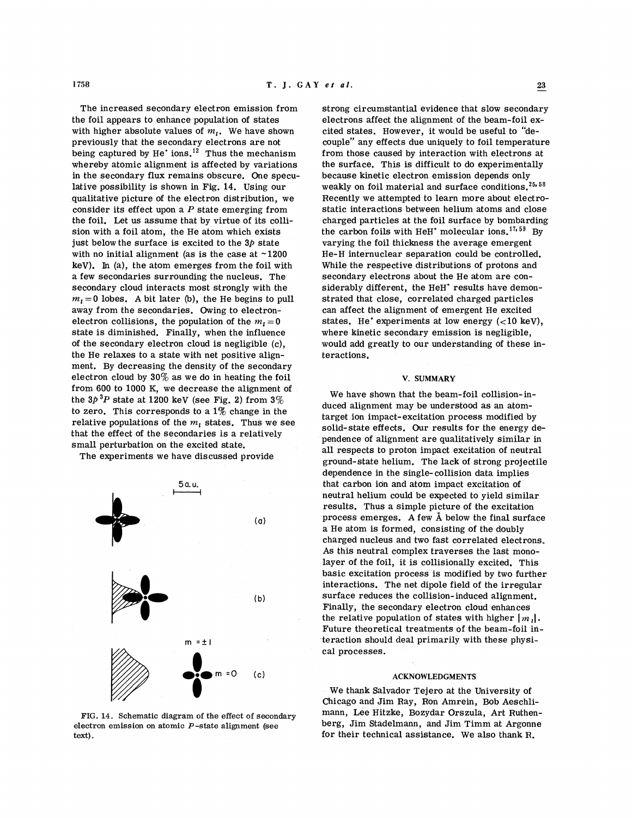1758

The increased secondary electron emission from the foil appears to enhance population of states with higher absolute values of  $m_i$ . We have shown previously that the secondary electrons are not being captured by He<sup>+</sup> ions.<sup>12</sup> Thus the mechanism whereby atomic alignment is affected by variations in the secondary flux remains obscure. One speculative possibility is shown in Fig. 14. Using our qualitative picture of the electron distribution, we consider its effect upon a *P* state emerging from the foil. Let us assume that by virtue of its collision with a foil atom, the He atom which exists just below the surface is excited to the  $3*p*$  state with no initial alignment (as is the case at  $\sim$ 1200 kev). In (a), the atom emerges from the foil with a few secondaries surrounding the nucleus. The secondary cloud interacts most strongly with the  $m_1 = 0$  lobes. A bit later (b), the He begins to pull away from the secondaries. Owing to electronelectron collisions, the population of the  $m<sub>1</sub>=0$ state is diminished. Finally, when the influence of the secondary electron cloud is negligible (c), the He relaxes to a state with net positive alignment. By decreasing the density of the secondary electron cloud by  $30\%$  as we do in heating the foil from 600 to 1000 K, we decrease the alignment of the  $3p^{3}P$  state at 1200 keV (see Fig. 2) from  $3\%$ to zero. This corresponds to a  $1\%$  change in the relative populations of the *m,* states. Thus we see that the effect of the secondaries is a relatively small perturbation on the excited state.

The experiments we have discussed provide



FIG. 14. Schematic diagram of the effect of secondary electron emission on atomic P-state alignment (see text).

strong circumstantial evidence that slow secondary electrons affect the alignment of the beam-foil excited states. However, it would be useful to "decouple" any effects due uniquely to foil temperature from those caused by interaction with electrons at the surface. This is difficult to do experimentally because kinetic electron emission depends only weakly on foil material and surface conditions.25\* **<sup>58</sup>** Recently we attempted to learn more about electrostatic interactions between helium atoms and close charged particles at the foil surface by bombarding the carbon foils with HeH<sup>+</sup> molecular ions.<sup>17,59</sup> By varying the foil thickness the average emergent He-H internuclear separation could be controlled. While the respective distributions of protons and secondary electrons about the He atom are considerably different, the HeH' results have demonstrated that close, correlated charged particles can affect the alignment of emergent He excited states. He<sup>+</sup> experiments at low energy  $\left( < 10 \text{ keV} \right)$ , where kinetic secondary emission is negligible, would add greatly to our understanding of these interactions.

#### **V. SUMMARY**

We have shown that the beam-foil collision-induced alignment may be understood as an atomtarget ion impact-excitation process modified by solid-state effects. Our results for the energy dependence of alignment are qualitatively similar in all respects to proton impact excitation of neutral ground-state helium. The lack of strong projectile dependence in the single-collision data implies that carbon ion and atom impact excitation of neutral helium could be expected to yield similar results. Thus a simple picture of the excitation process emerges. A few **a** below the final surface a He atom is formed, consisting of the doubly charged nucleus and two fast correlated electrons. As this neutral complex traverses the last monolayer of the foil, it is collisionally excited. This basic excitation process is modified by two further interactions. The net dipole field of the irregular surface reduces the collision-induced alignment. Finally, the secondary electron cloud enhances the relative population of states with higher  $\lfloor m_i \rfloor$ . Future theoretical treatments of the beam-foil interaction should deal primarily with these physical processes.

### **ACKNOWLEDGMENTS**

We thank Salvador Tejero at the University of Chicago and Jim Ray, Ron Amrein, Bob Aeschlimann, Lee Hitzke, Bozydar Orszula, Art Ruthenberg, Jim Stadelmann, and Jim Timm at Argonne for their technical assistance. We also thank R.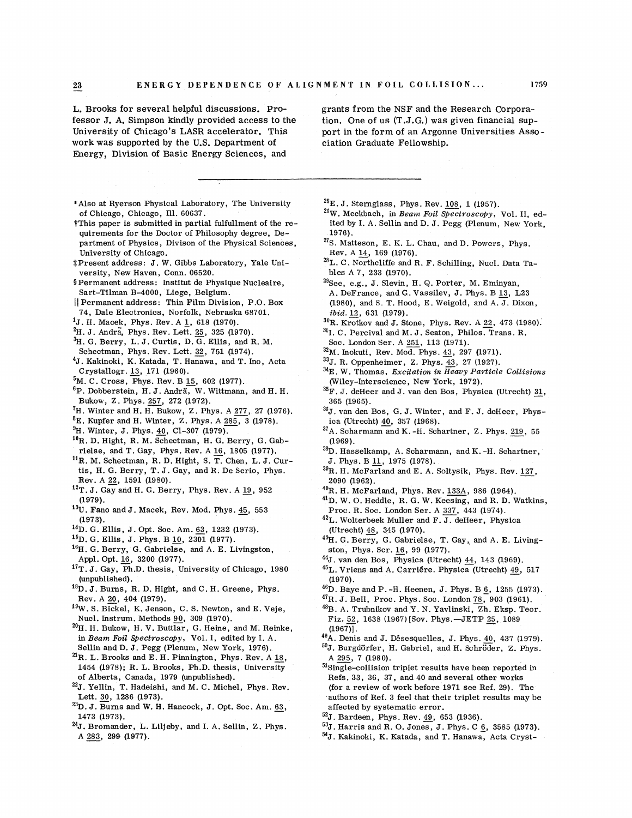**<sup>23</sup>**- **ENERGY DEPENDENCE OF AL IGNMENT IN FOIL COLLISION** ... <sup>1759</sup>

L. Brooks for several helpful discussions. Professor J. **A.** Simpson kindly provided access to the University of Chicago's LASR accelerator. This work was supported by the U.S. Department of Energy, Division of Basic Energy Sciences, and

grants from the NSF and the Research Corporation. One of us (T.J.G.) was given financial support in the form of an Argonne Universities Association Graduate Fellowship.

- \*Also at Ryerson Physical Laboratory, The University of Chicago, Chicago, Ill. 60637.
- tThis paper is submitted in partial fulfullment of the requirements for the Doctor of Philosophy degree, Department of Physics, Divison of the Physical Sciences, University of Chicago.
- \$Present address : J . W. Gibbs Laboratory, Yale University, New Haven, Conn. 06520.
- \$Permanent address: Institut de Physique Nucleaire, Sart-Tilman B-4000, Liege, Belgium.
- <sup>11</sup>Permanent address: Thin Film Division, P.O. Box 74, Dale Electronics, Norfolk, Nebraska 68701.
- 'J. H. Macek, Phys. Rev. A **1,** 618 (1970).
- <sup>2</sup>H. J. Andra, Phys. Rev. Lett. 25, 325 (1970).
- ${}^{3}$ H. G. Berry, L. J. Curtis, D. G. Ellis, and R. M. Schectman, Phys. Rev. Lett. 32, 751 (1974).
- <sup>4</sup>J. Kakinoki, K. Katada, T. Hanawa, and T. Ino, Acta Crystallogr. 13, 171 (1960).
- ${}^{5}$ M. C. Cross, Phys. Rev. B 15, 602 (1977).
- ${}^{6}P.$  Dobberstein, H. J. Andrä, W. Wittmann, and H. H. Bukow, Z . Phys. *257,* 272 (1972).
- ${}^{7}$ H. Winter and H. H. Bukow, Z. Phys. A  $277$ , 27 (1976).
- **8~.** Kupfer and H. Winter, 2. Phys. A 285, 3 (1978).
- <sup>9</sup>H. Winter, J. Phys. 40, Cl-307 (1979).
- <sup>10</sup>R. D. Hight, R. M. Schectman, H. G. Berry, G. Gabrielse, and T. Gay, Phys. Rev. A 16, 1805 (1977).
- $<sup>11</sup>R$ . M. Schectman, R. D. Hight, S. T. Chen, L. J. Cur-</sup> tis, H. G. Berry, T. J. Gay, and R. De Serio, Phys. Rev. A **22,** 1591 (1980).
- $12$ T. J. Gay and H. G. Berry, Phys. Rev. A 19, 952 (1979).
- $13$ U. Fano and J. Macek, Rev. Mod. Phys.  $45, 553$ (1973).
- <sup>14</sup>D. G. Ellis, J. Opt. Soc. Am. 63, 1232 (1973).
- $15$ D. G. Ellis, J. Phys. B  $10$ , 2301 (1977).
- 16H. G. Berry, G. Gabrielse, and A. E. Livingston, Appl. Opt. 16, 3200 (1977).
- '?T. J. Gay, Ph.D. thesis, University of Chicago, 1980 (unpublished).
- I8D. J, Burns, R. D. Hight, and C. H. Greene, Phys. Rev. A 20, 404 (1979).
- <sup>19</sup>W. S. Bickel, K. Jenson, C. S. Newton, and E. Veje, Nucl. Instrum. Methods **90,** 309 (1970).
- $^{20}$ H. H. Bukow, H. V. Buttlar, G. Heine, and M. Reinke, in *Beam Foil Spectroscopy,* Vol. I, edited by I. A. Sellin and D. J. Pegg (Plenum, New York, 1976).
- $n^2R$ . L. Brooks and E. H. Pinnington, Phys. Rev. A  $18$ , 1454 (l978); R. L. Brooks, Ph.D. thesis, University of Alberta, Canada, 1979 (unpublished).
- $^{22}$ J. Yellin, T. Hadeishi, and M. C. Michel, Phys. Rev. Lett. **30,** 1286 (1973).
- <sup>23</sup>D. J. Burns and W. H. Hancock, J. Opt. Soc. Am. 63, 1473 (1973).
- $^{24}$ J. Bromander, L. Liljeby, and I. A. Sellin, Z. Phys. A 283, 299 (1977).

 $^{25}E$ . J. Sternglass, Phys. Rev. 108, 1 (1957).

- $26$ W. Meckbach, in *Beam Foil Spectroscopy*, Vol. II, edited by I. A. Sellin and D. J. Pegg (Plenum, New York, 1976).
- <sup>27</sup>S. Matteson, E. K. L. Chau, and D. Powers, Phys.<br><sub>\_</sub>Rev. A <u>14</u>, 169 (1976).
- $^{28}$ L. C. Northcliffe and R. F. Schilling, Nucl. Data Tables A 7, 233 (1970).
- <sup>29</sup>See, e.g., J. Slevin, H. Q. Porter, M. Eminyan, A. DeFrance, and G. Vassilev, J. Phys. B 13, L23 (1980), and S. T. Hood, E. Weigold, and A. J. Dixon, *ibid.* 2, 631 (1979).
- <sup>30</sup>R. Krotkov and J. Stone, Phys. Rev. A 22, 473 (1980).
- 31. C. Percival and M. J. Seaton, Philos. Trans. R.
- Soc. London Ser. A 251, 113 (1971).
- $32$ M. Inokuti, Rev. Mod. Phys. 43, 297 (1971).
- <sup>33</sup>J. R. Oppenheimer, Z. Phys. 43, 27 (1927).
- $34E$ . W. Thomas, *Excitation in Heavy Particle Collisions* (Wiley-Interscience, New York, 1972).
- <sup>35</sup>F. J. deHeer and J. van den Bos, Physica (Utrecht)  $\underline{31}$ , 365 (1965).
- $^{36}$ J. van den Bos, G. J. Winter, and F. J. deHeer, Physica (Utrecht) 40, 357 (1968).
- <sup>37</sup>A. Scharmann and K. -H. Schartner, Z. Phys. 219, 55 (1969).
- $^{38}D.$  Hasselkamp, A. Scharmann, and K. -H. Schartner, J. Phys. B 11, 1975 (1978).
- <sup>39</sup>R. H. McFarland and E. A. Soltysik, Phys. Rev. 127, 2090 (1962).
- $^{40}$ R. H. McFarland, Phys. Rev.  $133A$ , 986 (1964).
- 41D. W. O. Heddle, R. G. W. Keesing, and R. D. Watkins, Proc. R. Soc. London Ser. A *337,* 443 (1974).
- $^{42}$ L. Wolterbeek Muller and F. J. deHeer, Physica (Utrecht) **48,** 345 (1970).
- (otrecnt)  $\frac{48}{10}$ ,  $\frac{345}{1970}$ , (1970).<br>  $^{43}$ H. G. Berry, G. Gabrielse, T. Gay, and A. E. Living-<br>
ston, Phys. Scr. 16, 99 (1977).
- $44$ J. van den Bos, Physica (Utrecht)  $44$ , 143 (1969).
- <sup>45</sup>L. Vriens and A. Carriére. Physica (Utrecht) 49, 517 (1970).
- <sup>46</sup>D. Baye and P. -H. Heenen, J. Phys. B <u>6</u>, 1255 (1973).
- ${}^{47}R. J.$  Bell, Proc. Phys. Soc. London  $78, 903$  (1961).
- $^{48}$ B. A. Trubnikov and Y. N. Yavlinski, Zh. Eksp. Teor. Fiz. 52, 1638 (1967) [Sov. Phys.-JETP 25, 1089  $(1967)$ .
- $^{49}$ A. Denis and J. Désesquelles, J. Phys.  $40$ , 437 (1979).
- $^{50}$ J. Burgdörfer, H. Gabriel, and H. Schröder, Z. Phys. A *295,* 7 (1980).
- 51 Single-collision triplet results have been reported in Refs. 33, 36, 37, and 40 and several other works (for a review of work before 1971 see Ref. 29). The authors of Ref. 3 feel that their triplet results may be affected by systematic error.
- $52$ J. Bardeen, Phys. Rev.  $49, 653$  (1936).
- 5<sup>3</sup>J. Harris and R. O. Jones, J. Phys. C <u>6</u>, 3585 (1973).
- <sup>54</sup>J. Kakinoki, K. Katada, and T. Hanawa, Acta Cryst-